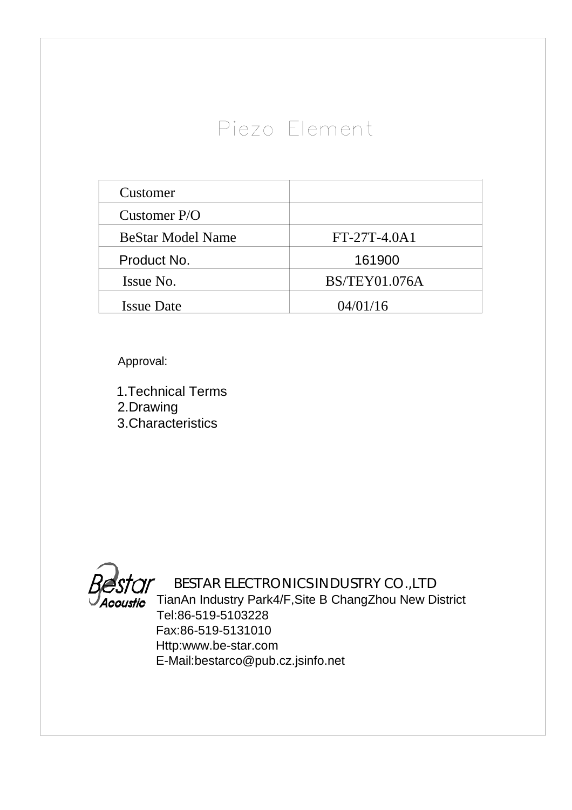## Piezo Element

| Customer                 |                      |
|--------------------------|----------------------|
| Customer $P/O$           |                      |
| <b>BeStar Model Name</b> | FT-27T-4.0A1         |
| Product No.              | 161900               |
| Issue No.                | <b>BS/TEY01.076A</b> |
| <b>Issue Date</b>        | 04/01/16             |

Approval:

1.Technical Terms 2.Drawing 3.Characteristics

*Acoustic* 

 BESTAR ELECTRONICS INDUSTRY CO.,LTD TianAn Industry Park4/F,Site B ChangZhou New District Tel:86-519-5103228 Fax:86-519-5131010 Http:www.be-star.com E-Mail:bestarco@pub.cz.jsinfo.net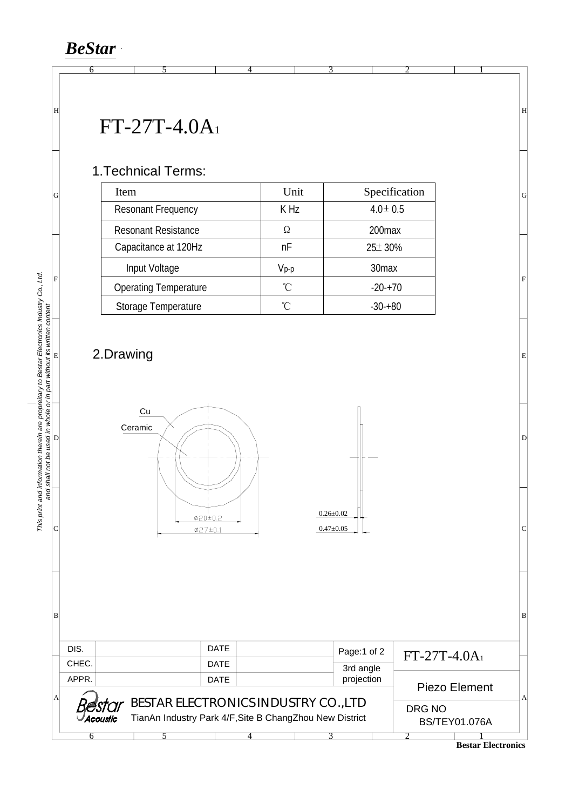*BeStar*

## FT-27T-4.0A 1

6 5

## 1.Technical Terms:

| Item                         | Unit      | Specification<br>$4.0 \pm 0.5$ |  |  |
|------------------------------|-----------|--------------------------------|--|--|
| <b>Resonant Frequency</b>    | K Hz      |                                |  |  |
| <b>Resonant Resistance</b>   | Ω         | 200 <sub>max</sub>             |  |  |
| Capacitance at 120Hz         | nF        | $25 \pm 30\%$                  |  |  |
| Input Voltage                | $V_{p-p}$ | 30 <sub>max</sub>              |  |  |
| <b>Operating Temperature</b> | °C        | $-20+70$                       |  |  |
| Storage Temperature          | ุึ∩       | $-30+80$                       |  |  |

4

 $\overline{3}$ 

## 2.Drawing



| Βl |                                      |             |                                                         |  |             |            |                      |                                            | B |  |
|----|--------------------------------------|-------------|---------------------------------------------------------|--|-------------|------------|----------------------|--------------------------------------------|---|--|
|    |                                      |             |                                                         |  |             |            |                      |                                            |   |  |
|    | DIS.                                 |             | <b>DATE</b>                                             |  | Page:1 of 2 |            | $FT-27T-4.0A_1$      |                                            |   |  |
|    | CHEC.                                |             | <b>DATE</b>                                             |  | 3rd angle   |            |                      |                                            |   |  |
|    | APPR.                                | <b>DATE</b> |                                                         |  |             | projection | Piezo Element        |                                            |   |  |
| A  |                                      |             |                                                         |  |             |            |                      |                                            |   |  |
|    | BESTAR ELECTRONICS INDUSTRY CO., LTD |             |                                                         |  |             |            |                      | DRG NO                                     |   |  |
|    | 'Acoustic                            |             | TianAn Industry Park 4/F, Site B ChangZhou New District |  |             |            | <b>BS/TEY01.076A</b> |                                            |   |  |
|    |                                      |             |                                                         |  |             |            |                      |                                            |   |  |
|    |                                      |             |                                                         |  |             |            |                      | $\mathbf{n}$ . $\mathbf{m}$ . $\mathbf{m}$ |   |  |

**Bestar Electronics** 

C

D

F<br>|<br>E

G

H

2 1

EFG

H

D<br>
C